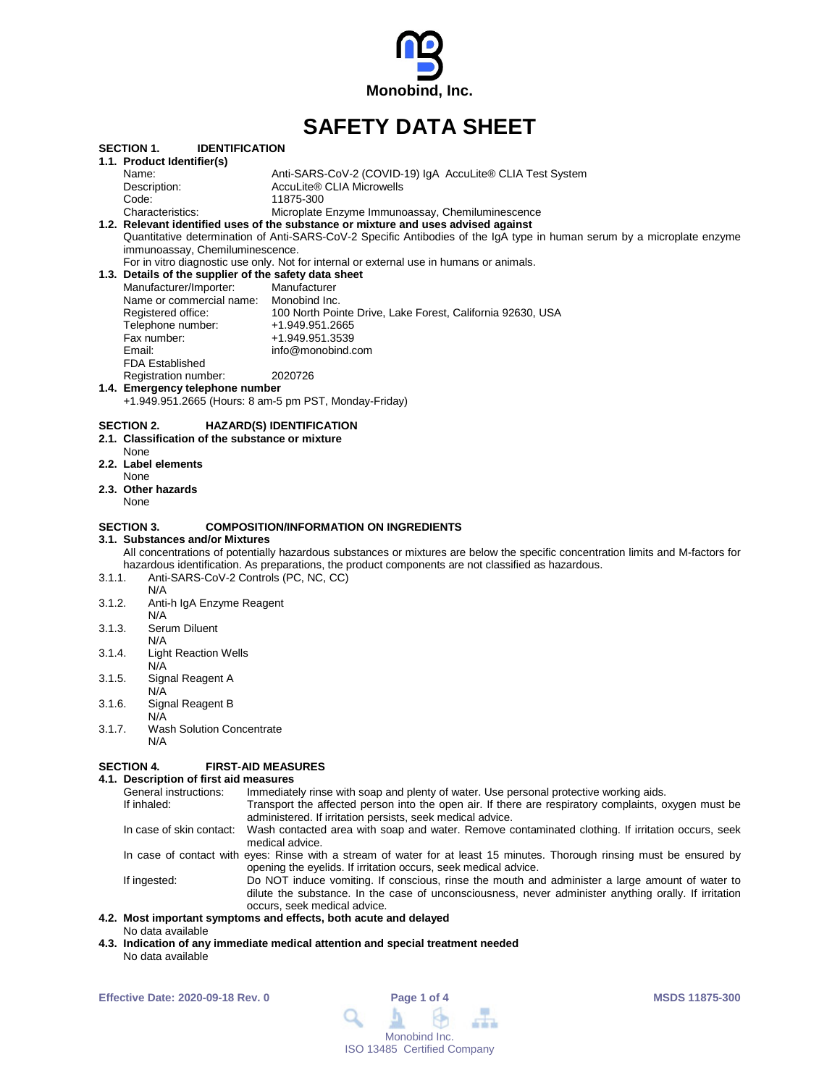

# **SAFETY DATA SHEET**

|                                                       | <b>SECTION 1.</b><br><b>IDENTIFICATION</b>                                                                              |                                                                                                                                  |  |  |  |  |
|-------------------------------------------------------|-------------------------------------------------------------------------------------------------------------------------|----------------------------------------------------------------------------------------------------------------------------------|--|--|--|--|
|                                                       | 1.1. Product Identifier(s)                                                                                              |                                                                                                                                  |  |  |  |  |
|                                                       | Name:                                                                                                                   | Anti-SARS-CoV-2 (COVID-19) IgA AccuLite® CLIA Test System                                                                        |  |  |  |  |
|                                                       | Description:                                                                                                            | AccuLite® CLIA Microwells                                                                                                        |  |  |  |  |
|                                                       | Code:                                                                                                                   | 11875-300                                                                                                                        |  |  |  |  |
|                                                       | Characteristics:                                                                                                        | Microplate Enzyme Immunoassay, Chemiluminescence                                                                                 |  |  |  |  |
|                                                       |                                                                                                                         | 1.2. Relevant identified uses of the substance or mixture and uses advised against                                               |  |  |  |  |
|                                                       | Quantitative determination of Anti-SARS-CoV-2 Specific Antibodies of the IgA type in human serum by a microplate enzyme |                                                                                                                                  |  |  |  |  |
| immunoassay, Chemiluminescence.                       |                                                                                                                         |                                                                                                                                  |  |  |  |  |
|                                                       | For in vitro diagnostic use only. Not for internal or external use in humans or animals.                                |                                                                                                                                  |  |  |  |  |
| 1.3. Details of the supplier of the safety data sheet |                                                                                                                         |                                                                                                                                  |  |  |  |  |
|                                                       | Manufacturer/Importer:                                                                                                  | Manufacturer                                                                                                                     |  |  |  |  |
|                                                       | Name or commercial name:                                                                                                | Monobind Inc.                                                                                                                    |  |  |  |  |
|                                                       | Registered office:                                                                                                      | 100 North Pointe Drive, Lake Forest, California 92630, USA                                                                       |  |  |  |  |
|                                                       | Telephone number:                                                                                                       | +1.949.951.2665                                                                                                                  |  |  |  |  |
|                                                       | Fax number:                                                                                                             | +1.949.951.3539                                                                                                                  |  |  |  |  |
|                                                       | Email:                                                                                                                  | info@monobind.com                                                                                                                |  |  |  |  |
|                                                       | <b>FDA Established</b>                                                                                                  |                                                                                                                                  |  |  |  |  |
|                                                       | Registration number:                                                                                                    | 2020726                                                                                                                          |  |  |  |  |
|                                                       | 1.4. Emergency telephone number                                                                                         |                                                                                                                                  |  |  |  |  |
|                                                       | +1.949.951.2665 (Hours: 8 am-5 pm PST, Monday-Friday)                                                                   |                                                                                                                                  |  |  |  |  |
|                                                       |                                                                                                                         |                                                                                                                                  |  |  |  |  |
|                                                       | <b>SECTION 2.</b>                                                                                                       | <b>HAZARD(S) IDENTIFICATION</b>                                                                                                  |  |  |  |  |
|                                                       | 2.1. Classification of the substance or mixture                                                                         |                                                                                                                                  |  |  |  |  |
|                                                       | None                                                                                                                    |                                                                                                                                  |  |  |  |  |
|                                                       | 2.2. Label elements                                                                                                     |                                                                                                                                  |  |  |  |  |
|                                                       | None                                                                                                                    |                                                                                                                                  |  |  |  |  |
|                                                       | 2.3. Other hazards                                                                                                      |                                                                                                                                  |  |  |  |  |
|                                                       | None                                                                                                                    |                                                                                                                                  |  |  |  |  |
|                                                       | SECTION 3.                                                                                                              | <b>COMPOSITION/INFORMATION ON INGREDIENTS</b>                                                                                    |  |  |  |  |
|                                                       | 3.1. Substances and/or Mixtures                                                                                         |                                                                                                                                  |  |  |  |  |
|                                                       |                                                                                                                         | All concentrations of potentially hazardous substances or mixtures are below the specific concentration limits and M-factors for |  |  |  |  |
|                                                       |                                                                                                                         | hazardous identification. As preparations, the product components are not classified as hazardous.                               |  |  |  |  |
| 3.1.1.                                                | Anti-SARS-CoV-2 Controls (PC, NC, CC)                                                                                   |                                                                                                                                  |  |  |  |  |
|                                                       | N/A                                                                                                                     |                                                                                                                                  |  |  |  |  |
| 3.1.2.                                                | Anti-h IgA Enzyme Reagent                                                                                               |                                                                                                                                  |  |  |  |  |
|                                                       | N/A                                                                                                                     |                                                                                                                                  |  |  |  |  |
| 3.1.3.                                                | Serum Diluent                                                                                                           |                                                                                                                                  |  |  |  |  |
|                                                       | N/A                                                                                                                     |                                                                                                                                  |  |  |  |  |
| 3.1.4.                                                | <b>Light Reaction Wells</b>                                                                                             |                                                                                                                                  |  |  |  |  |
|                                                       | N/A                                                                                                                     |                                                                                                                                  |  |  |  |  |
| 3.1.5.                                                | Signal Reagent A                                                                                                        |                                                                                                                                  |  |  |  |  |
|                                                       | N/A                                                                                                                     |                                                                                                                                  |  |  |  |  |
| 3.1.6.                                                | Signal Reagent B                                                                                                        |                                                                                                                                  |  |  |  |  |
|                                                       | N/A                                                                                                                     |                                                                                                                                  |  |  |  |  |
| 3.1.7.                                                | Wash Solution Concentrate                                                                                               |                                                                                                                                  |  |  |  |  |
|                                                       |                                                                                                                         |                                                                                                                                  |  |  |  |  |

Solution Concentrate N/A

#### **SECTION 4. FIRST-AID MEASURES**

**4.1. Description of first aid measures** General instructions: Immediately rinse with soap and plenty of water. Use personal protective working aids.<br>If inhaled: If inhaled: Transport the affected person into the open air. If there are respiratory complaints, o Transport the affected person into the open air. If there are respiratory complaints, oxygen must be administered. If irritation persists, seek medical advice. In case of skin contact: Wash contacted area with soap and water. Remove contaminated clothing. If irritation occurs, seek medical advice. In case of contact with eyes: Rinse with a stream of water for at least 15 minutes. Thorough rinsing must be ensured by opening the eyelids. If irritation occurs, seek medical advice. If ingested: Do NOT induce vomiting. If conscious, rinse the mouth and administer a large amount of water to dilute the substance. In the case of unconsciousness, never administer anything orally. If irritation occurs, seek medical advice.

#### **4.2. Most important symptoms and effects, both acute and delayed** No data available

**4.3. Indication of any immediate medical attention and special treatment needed** No data available

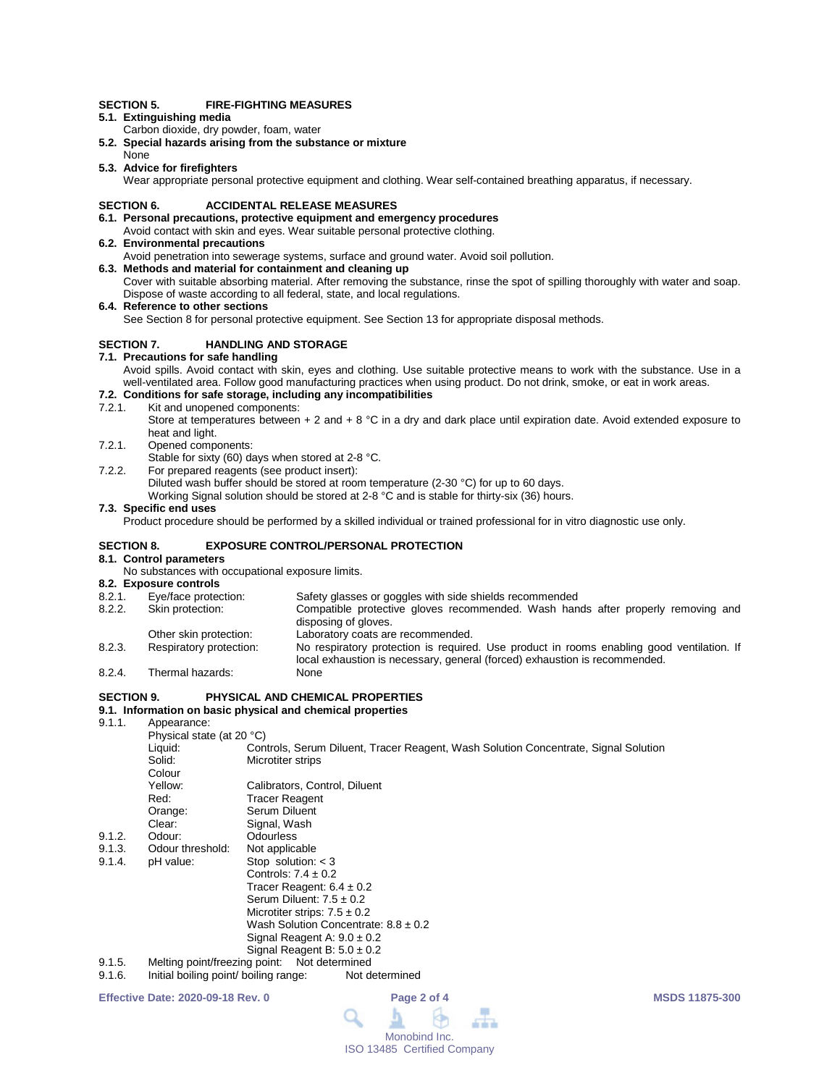#### **SECTION 5. FIRE-FIGHTING MEASURES**

- **5.1. Extinguishing media**
- Carbon dioxide, dry powder, foam, water
- **5.2. Special hazards arising from the substance or mixture**
- None **5.3. Advice for firefighters**

Wear appropriate personal protective equipment and clothing. Wear self-contained breathing apparatus, if necessary.

#### **SECTION 6. ACCIDENTAL RELEASE MEASURES**

#### **6.1. Personal precautions, protective equipment and emergency procedures**

- Avoid contact with skin and eyes. Wear suitable personal protective clothing.
- **6.2. Environmental precautions**

Avoid penetration into sewerage systems, surface and ground water. Avoid soil pollution.

- **6.3. Methods and material for containment and cleaning up** Cover with suitable absorbing material. After removing the substance, rinse the spot of spilling thoroughly with water and soap. Dispose of waste according to all federal, state, and local regulations.
- **6.4. Reference to other sections**

See Section 8 for personal protective equipment. See Section 13 for appropriate disposal methods.

#### **SECTION 7. HANDLING AND STORAGE**

#### **7.1. Precautions for safe handling**

Avoid spills. Avoid contact with skin, eyes and clothing. Use suitable protective means to work with the substance. Use in a well-ventilated area. Follow good manufacturing practices when using product. Do not drink, smoke, or eat in work areas.

## **7.2. Conditions for safe storage, including any incompatibilities**

7.2.1. Kit and unopened components:

Store at temperatures between  $+ 2$  and  $+ 8$  °C in a dry and dark place until expiration date. Avoid extended exposure to heat and light.

- 7.2.1. Opened components:
- Stable for sixty (60) days when stored at 2-8 °C.
- 7.2.2. For prepared reagents (see product insert):

Diluted wash buffer should be stored at room temperature (2-30 °C) for up to 60 days.

Working Signal solution should be stored at 2-8 °C and is stable for thirty-six (36) hours.

#### **7.3. Specific end uses**

Product procedure should be performed by a skilled individual or trained professional for in vitro diagnostic use only.

#### **SECTION 8. EXPOSURE CONTROL/PERSONAL PROTECTION**

#### **8.1. Control parameters**

No substances with occupational exposure limits.

- **8.2. Exposure controls** 8.2.1. Eye/face protection: Safety glasses or goggles with side shields recommended<br>8.2.2. Skin protection: Compatible protective gloves recommended. Wash han Compatible protective gloves recommended. Wash hands after properly removing and disposing of gloves. Other skin protection: Laboratory coats are recommended.<br>
Respiratory protection: No respiratory protection is required 8.2.3. Respiratory protection: No respiratory protection is required. Use product in rooms enabling good ventilation. If local exhaustion is necessary, general (forced) exhaustion is recommended.
- 8.2.4. Thermal hazards: None

### **SECTION 9. PHYSICAL AND CHEMICAL PROPERTIES**

# **9.1. Information on basic physical and chemical properties**

Annearance:

|        | 1.1                           |                                                                                                                                                                                                                                                                                                                                                 |
|--------|-------------------------------|-------------------------------------------------------------------------------------------------------------------------------------------------------------------------------------------------------------------------------------------------------------------------------------------------------------------------------------------------|
|        | Physical state (at 20 °C)     |                                                                                                                                                                                                                                                                                                                                                 |
|        | Liquid:                       | Controls, Serum Diluent, Tracer Reagent, Wash Solution Concentrate, Signal Solution                                                                                                                                                                                                                                                             |
|        | Solid:                        | Microtiter strips                                                                                                                                                                                                                                                                                                                               |
|        | Colour                        |                                                                                                                                                                                                                                                                                                                                                 |
|        | Yellow:                       | Calibrators, Control, Diluent                                                                                                                                                                                                                                                                                                                   |
|        | Red:                          | Tracer Reagent                                                                                                                                                                                                                                                                                                                                  |
|        | Orange:                       | Serum Diluent                                                                                                                                                                                                                                                                                                                                   |
|        | Clear:                        | Signal, Wash                                                                                                                                                                                                                                                                                                                                    |
| 9.1.2. | Odour:                        | <b>Odourless</b>                                                                                                                                                                                                                                                                                                                                |
| 9.1.3. | Odour threshold:              | Not applicable                                                                                                                                                                                                                                                                                                                                  |
| 9.1.4. | pH value:                     | Stop solution: $<$ 3                                                                                                                                                                                                                                                                                                                            |
|        |                               | Controls: $7.4 \pm 0.2$                                                                                                                                                                                                                                                                                                                         |
|        |                               | Tracer Reagent: $6.4 \pm 0.2$                                                                                                                                                                                                                                                                                                                   |
|        |                               | Serum Diluent: $7.5 \pm 0.2$                                                                                                                                                                                                                                                                                                                    |
|        |                               | Microtiter strips: $7.5 \pm 0.2$                                                                                                                                                                                                                                                                                                                |
|        |                               | Wash Solution Concentrate: $8.8 \pm 0.2$                                                                                                                                                                                                                                                                                                        |
|        |                               | Signal Reagent A: $9.0 \pm 0.2$                                                                                                                                                                                                                                                                                                                 |
|        |                               | Signal Reagent B: $5.0 \pm 0.2$                                                                                                                                                                                                                                                                                                                 |
| 9.1.5. | Melting point/freezing point: | Not determined                                                                                                                                                                                                                                                                                                                                  |
| .      |                               | the Month to a Microsoft of the College of the company of the College of the College of the College of the Col<br>Alexander and the second second the second second the second second second second second second second second second second second second second second second second second second second second second second second second |

9.1.6. Initial boiling point/ boiling range: Not determined

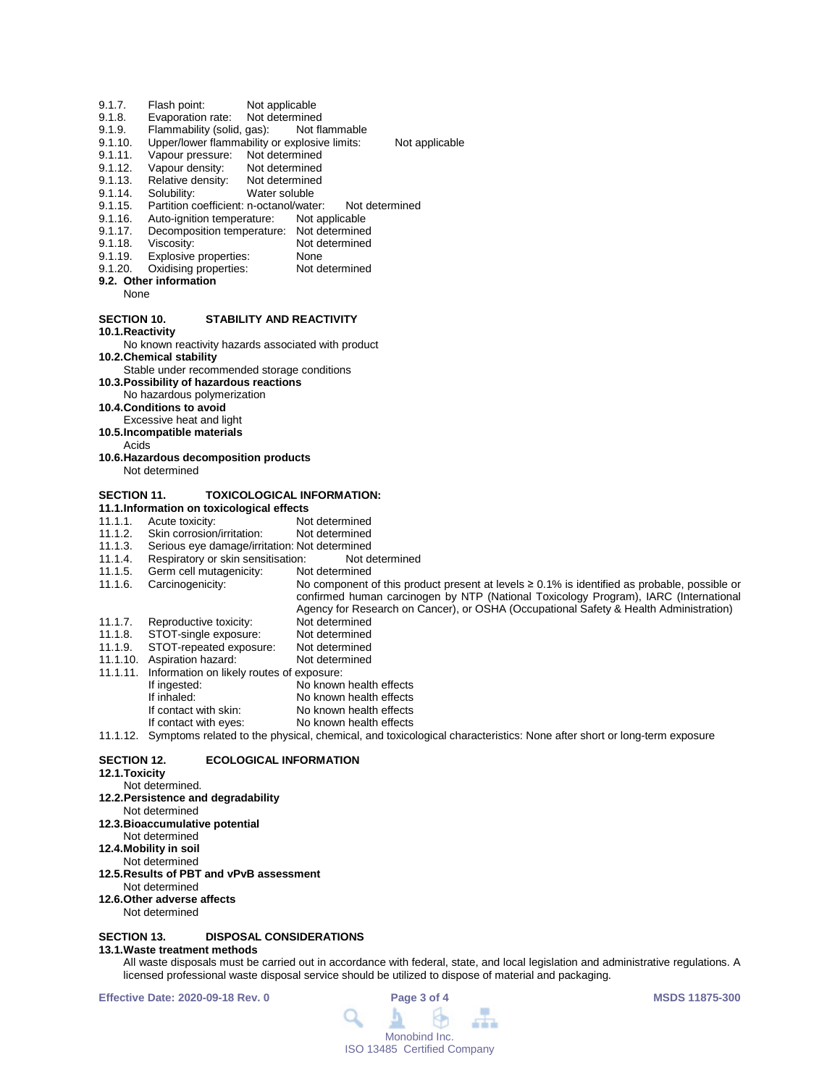- 9.1.7. Flash point: Not applicable<br>9.1.8. Evaporation rate: Not determined
- 9.1.8. Evaporation rate: Not determined<br>9.1.9. Flammability (solid, gas): Not flammable
- 9.1.9. Flammability (solid, gas):<br>9.1.10. Upper/lower flammability
- 9.1.10. Upper/lower flammability or explosive limits: Not applicable<br>9.1.11. Vapour pressure: Not determined
- 9.1.11. Vapour pressure: Not determined<br>9.1.12. Vapour density: Not determined
- 9.1.12. Vapour density: Not determined<br>9.1.13. Relative density: Not determined
- 9.1.13. Relative density:<br>9.1.14. Solubility:
- 9.1.14. Solubility: Water soluble<br>9.1.15. Partition coefficient: n-octanol/wate
- 9.1.15. Partition coefficient: n-octanol/water: Not determined<br>9.1.16. Auto-ignition temperature: Not applicable
- Auto-ignition temperature:
- 9.1.17. Decomposition temperature: Not determined<br>9.1.18. Viscosity: Not determined
- 9.1.18. Viscosity: Not determined<br>9.1.19. Explosive properties: None
- 9.1.19. Explosive properties: None<br>9.1.20. Oxidising properties: Not determined
- Oxidising properties:
- **9.2. Other information** None
	-

#### **SECTION 10. STABILITY AND REACTIVITY**

**10.1.Reactivity**

No known reactivity hazards associated with product **10.2.Chemical stability**

- Stable under recommended storage conditions
- **10.3.Possibility of hazardous reactions**
- No hazardous polymerization

#### **10.4.Conditions to avoid**

- Excessive heat and light
- **10.5.Incompatible materials**
	- Acids
- **10.6.Hazardous decomposition products** Not determined
- 

### **SECTION 11. TOXICOLOGICAL INFORMATION:**

- **11.1.Information on toxicological effects**
- 11.1.1. Acute toxicity: Not determined<br>11.1.2. Skin corrosion/irritation: Not determined
- 11.1.2. Skin corrosion/irritation:<br>11.1.3. Serious eve damage/irrit
- 11.1.3. Serious eye damage/irritation: Not determined
- 11.1.4. Respiratory or skin sensitisation: Not do 11.1.5. Germ cell mutagenicity: Not determined
- 11.1.5. Germ cell mutagenicity:<br>11.1.6. Carcinogenicity:
- No component of this product present at levels ≥ 0.1% is identified as probable, possible or confirmed human carcinogen by NTP (National Toxicology Program), IARC (International
- Agency for Research on Cancer), or OSHA (Occupational Safety & Health Administration)
- 11.1.7. Reproductive toxicity: Not determined<br>11.1.8. STOT-single exposure: Not determined 11.1.8. STOT-single exposure: Not determined<br>11.1.9. STOT-repeated exposure: Not determined
- STOT-repeated exposure: Not determined<br>Aspiration hazard: Not determined
- 11.1.10. Aspiration hazard:
- 11.1.11. Information on likely routes of exposure:
- If ingested: No known health effects<br>
If inhaled: No known health effects
- If inhaled: No known health effects<br>If contact with skin: No known health effects If contact with skin: No known health effects<br>If contact with eyes: No known health effects
	- No known health effects

11.1.12. Symptoms related to the physical, chemical, and toxicological characteristics: None after short or long-term exposure

#### **SECTION 12. ECOLOGICAL INFORMATION**

**12.1.Toxicity**

## Not determined.

- **12.2.Persistence and degradability**
- Not determined
- **12.3.Bioaccumulative potential**
- Not determined
- **12.4.Mobility in soil**
- Not determined
- **12.5.Results of PBT and vPvB assessment**
- Not determined **12.6.Other adverse affects**
- 
- Not determined

#### **SECTION 13. DISPOSAL CONSIDERATIONS**

#### **13.1.Waste treatment methods**

All waste disposals must be carried out in accordance with federal, state, and local legislation and administrative regulations. A licensed professional waste disposal service should be utilized to dispose of material and packaging.